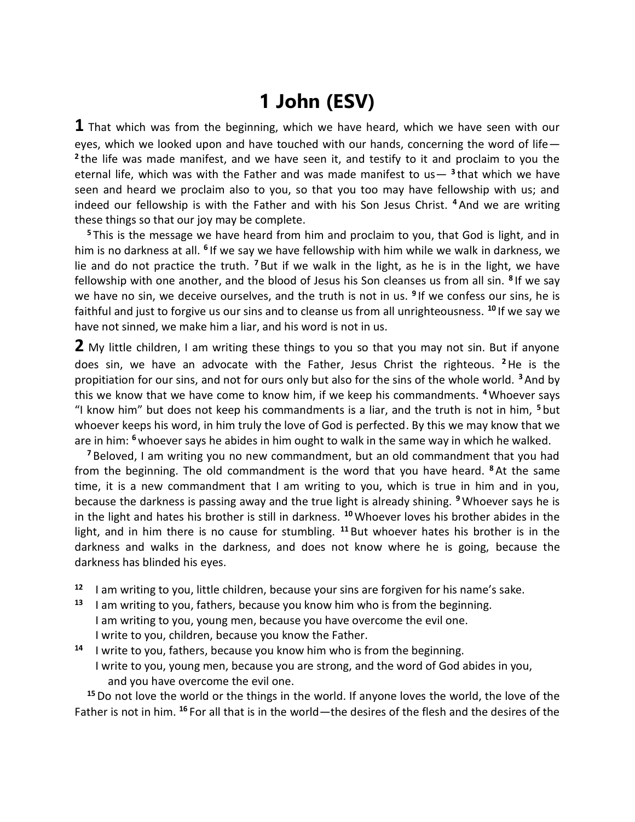## **1 John (ESV)**

**1** That which was from the beginning, which we have heard, which we have seen with our eyes, which we looked upon and have touched with our hands, concerning the word of life— **2** the life was made manifest, and we have seen it, and testify to it and proclaim to you the eternal life, which was with the Father and was made manifest to us— **<sup>3</sup>** that which we have seen and heard we proclaim also to you, so that you too may have fellowship with us; and indeed our fellowship is with the Father and with his Son Jesus Christ. **<sup>4</sup>** And we are writing these things so that our joy may be complete.

**<sup>5</sup>** This is the message we have heard from him and proclaim to you, that God is light, and in him is no darkness at all. <sup>6</sup> If we say we have fellowship with him while we walk in darkness, we lie and do not practice the truth. **<sup>7</sup>** But if we walk in the light, as he is in the light, we have fellowship with one another, and the blood of Jesus his Son cleanses us from all sin. **<sup>8</sup>** If we say we have no sin, we deceive ourselves, and the truth is not in us. **<sup>9</sup>** If we confess our sins, he is faithful and just to forgive us our sins and to cleanse us from all unrighteousness. **<sup>10</sup>** If we say we have not sinned, we make him a liar, and his word is not in us.

**2** My little children, I am writing these things to you so that you may not sin. But if anyone does sin, we have an advocate with the Father, Jesus Christ the righteous. **<sup>2</sup>**He is the propitiation for our sins, and not for ours only but also for the sins of the whole world. **<sup>3</sup>** And by this we know that we have come to know him, if we keep his commandments. **<sup>4</sup>**Whoever says "I know him" but does not keep his commandments is a liar, and the truth is not in him, **<sup>5</sup>** but whoever keeps his word, in him truly the love of God is perfected. By this we may know that we are in him: **<sup>6</sup>** whoever says he abides in him ought to walk in the same way in which he walked.

**<sup>7</sup>** Beloved, I am writing you no new commandment, but an old commandment that you had from the beginning. The old commandment is the word that you have heard. **<sup>8</sup>** At the same time, it is a new commandment that I am writing to you, which is true in him and in you, because the darkness is passing away and the true light is already shining. **<sup>9</sup>**Whoever says he is in the light and hates his brother is still in darkness. **<sup>10</sup>**Whoever loves his brother abides in the light, and in him there is no cause for stumbling. **<sup>11</sup>** But whoever hates his brother is in the darkness and walks in the darkness, and does not know where he is going, because the darkness has blinded his eyes.

- **<sup>12</sup>** I am writing to you, little children, because your sins are forgiven for his name's sake.
- **<sup>13</sup>** I am writing to you, fathers, because you know him who is from the beginning. I am writing to you, young men, because you have overcome the evil one. I write to you, children, because you know the Father.
- **<sup>14</sup>** I write to you, fathers, because you know him who is from the beginning. I write to you, young men, because you are strong, and the word of God abides in you, and you have overcome the evil one.

**<sup>15</sup>**Do not love the world or the things in the world. If anyone loves the world, the love of the Father is not in him. **<sup>16</sup>** For all that is in the world—the desires of the flesh and the desires of the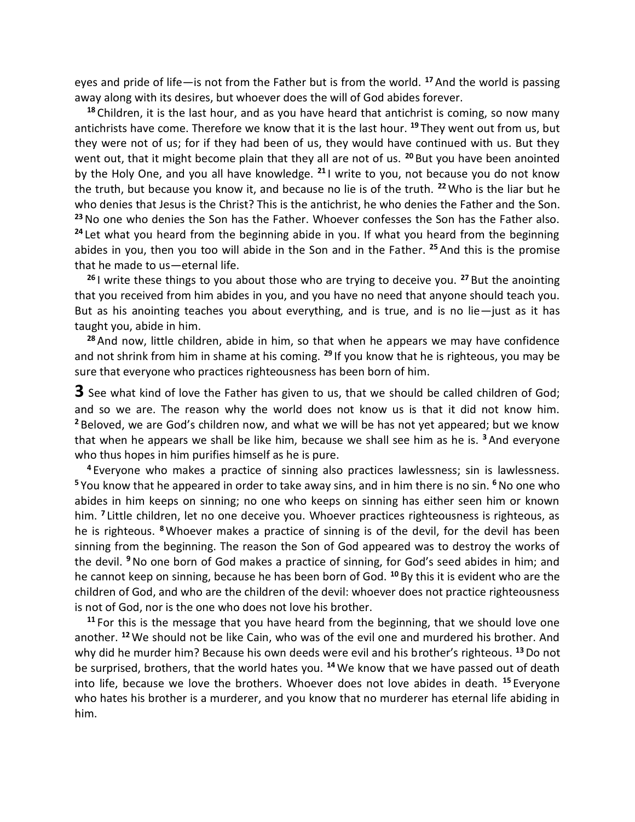eyes and pride of life—is not from the Father but is from the world. **<sup>17</sup>** And the world is passing away along with its desires, but whoever does the will of God abides forever.

**<sup>18</sup>** Children, it is the last hour, and as you have heard that antichrist is coming, so now many antichrists have come. Therefore we know that it is the last hour. **<sup>19</sup>** They went out from us, but they were not of us; for if they had been of us, they would have continued with us. But they went out, that it might become plain that they all are not of us. **<sup>20</sup>** But you have been anointed by the Holy One, and you all have knowledge. **<sup>21</sup>** I write to you, not because you do not know the truth, but because you know it, and because no lie is of the truth. **<sup>22</sup>**Who is the liar but he who denies that Jesus is the Christ? This is the antichrist, he who denies the Father and the Son. **<sup>23</sup>**No one who denies the Son has the Father. Whoever confesses the Son has the Father also. **<sup>24</sup>** Let what you heard from the beginning abide in you. If what you heard from the beginning abides in you, then you too will abide in the Son and in the Father. **<sup>25</sup>** And this is the promise that he made to us—eternal life.

**<sup>26</sup>** I write these things to you about those who are trying to deceive you. **<sup>27</sup>** But the anointing that you received from him abides in you, and you have no need that anyone should teach you. But as his anointing teaches you about everything, and is true, and is no lie—just as it has taught you, abide in him.

**<sup>28</sup>** And now, little children, abide in him, so that when he appears we may have confidence and not shrink from him in shame at his coming. **<sup>29</sup>** If you know that he is righteous, you may be sure that everyone who practices righteousness has been born of him.

**3** See what kind of love the Father has given to us, that we should be called children of God; and so we are. The reason why the world does not know us is that it did not know him. **<sup>2</sup>** Beloved, we are God's children now, and what we will be has not yet appeared; but we know that when he appears we shall be like him, because we shall see him as he is. **<sup>3</sup>** And everyone who thus hopes in him purifies himself as he is pure.

**<sup>4</sup>** Everyone who makes a practice of sinning also practices lawlessness; sin is lawlessness. **<sup>5</sup>** You know that he appeared in order to take away sins, and in him there is no sin. **<sup>6</sup>**No one who abides in him keeps on sinning; no one who keeps on sinning has either seen him or known him. **<sup>7</sup>** Little children, let no one deceive you. Whoever practices righteousness is righteous, as he is righteous. **<sup>8</sup>**Whoever makes a practice of sinning is of the devil, for the devil has been sinning from the beginning. The reason the Son of God appeared was to destroy the works of the devil. **<sup>9</sup>**No one born of God makes a practice of sinning, for God's seed abides in him; and he cannot keep on sinning, because he has been born of God. **<sup>10</sup>** By this it is evident who are the children of God, and who are the children of the devil: whoever does not practice righteousness is not of God, nor is the one who does not love his brother.

**<sup>11</sup>** For this is the message that you have heard from the beginning, that we should love one another. **<sup>12</sup>**We should not be like Cain, who was of the evil one and murdered his brother. And why did he murder him? Because his own deeds were evil and his brother's righteous. **<sup>13</sup>**Do not be surprised, brothers, that the world hates you. **<sup>14</sup>**We know that we have passed out of death into life, because we love the brothers. Whoever does not love abides in death. **<sup>15</sup>** Everyone who hates his brother is a murderer, and you know that no murderer has eternal life abiding in him.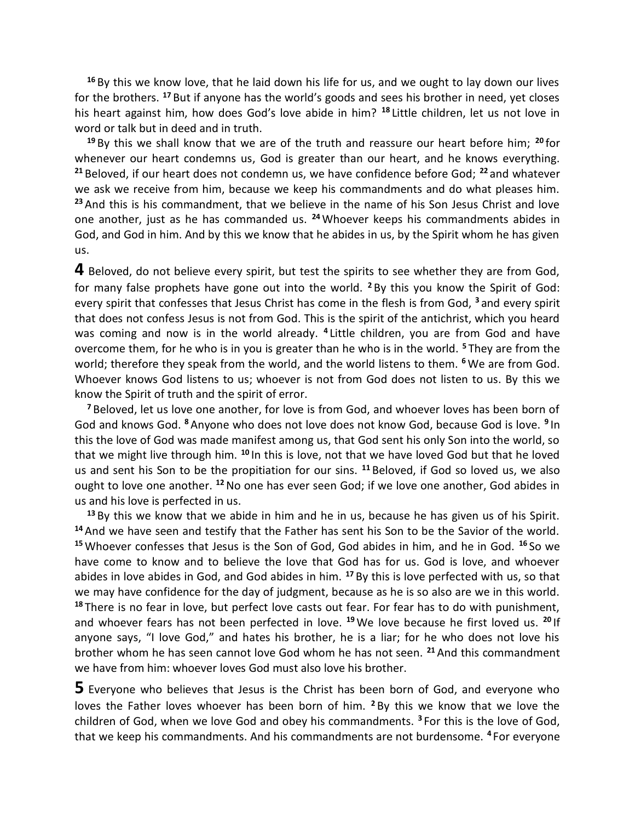**<sup>16</sup>** By this we know love, that he laid down his life for us, and we ought to lay down our lives for the brothers. **<sup>17</sup>** But if anyone has the world's goods and sees his brother in need, yet closes his heart against him, how does God's love abide in him? **<sup>18</sup>** Little children, let us not love in word or talk but in deed and in truth.

**<sup>19</sup>** By this we shall know that we are of the truth and reassure our heart before him; **<sup>20</sup>** for whenever our heart condemns us, God is greater than our heart, and he knows everything. **<sup>21</sup>** Beloved, if our heart does not condemn us, we have confidence before God; **<sup>22</sup>** and whatever we ask we receive from him, because we keep his commandments and do what pleases him. **<sup>23</sup>** And this is his commandment, that we believe in the name of his Son Jesus Christ and love one another, just as he has commanded us. **<sup>24</sup>**Whoever keeps his commandments abides in God, and God in him. And by this we know that he abides in us, by the Spirit whom he has given us.

**4** Beloved, do not believe every spirit, but test the spirits to see whether they are from God, for many false prophets have gone out into the world. **<sup>2</sup>** By this you know the Spirit of God: every spirit that confesses that Jesus Christ has come in the flesh is from God, **<sup>3</sup>** and every spirit that does not confess Jesus is not from God. This is the spirit of the antichrist, which you heard was coming and now is in the world already. **<sup>4</sup>** Little children, you are from God and have overcome them, for he who is in you is greater than he who is in the world. **<sup>5</sup>** They are from the world; therefore they speak from the world, and the world listens to them. **<sup>6</sup>**We are from God. Whoever knows God listens to us; whoever is not from God does not listen to us. By this we know the Spirit of truth and the spirit of error.

**<sup>7</sup>** Beloved, let us love one another, for love is from God, and whoever loves has been born of God and knows God. **<sup>8</sup>** Anyone who does not love does not know God, because God is love. **<sup>9</sup>** In this the love of God was made manifest among us, that God sent his only Son into the world, so that we might live through him. **<sup>10</sup>** In this is love, not that we have loved God but that he loved us and sent his Son to be the propitiation for our sins. **<sup>11</sup>** Beloved, if God so loved us, we also ought to love one another. **<sup>12</sup>**No one has ever seen God; if we love one another, God abides in us and his love is perfected in us.

**<sup>13</sup>** By this we know that we abide in him and he in us, because he has given us of his Spirit. **<sup>14</sup>** And we have seen and testify that the Father has sent his Son to be the Savior of the world. **<sup>15</sup>**Whoever confesses that Jesus is the Son of God, God abides in him, and he in God. **<sup>16</sup>** So we have come to know and to believe the love that God has for us. God is love, and whoever abides in love abides in God, and God abides in him. **<sup>17</sup>** By this is love perfected with us, so that we may have confidence for the day of judgment, because as he is so also are we in this world. **<sup>18</sup>** There is no fear in love, but perfect love casts out fear. For fear has to do with punishment, and whoever fears has not been perfected in love. **<sup>19</sup>**We love because he first loved us. **<sup>20</sup>** If anyone says, "I love God," and hates his brother, he is a liar; for he who does not love his brother whom he has seen cannot love God whom he has not seen. **<sup>21</sup>** And this commandment we have from him: whoever loves God must also love his brother.

**5** Everyone who believes that Jesus is the Christ has been born of God, and everyone who loves the Father loves whoever has been born of him. **<sup>2</sup>** By this we know that we love the children of God, when we love God and obey his commandments. **<sup>3</sup>** For this is the love of God, that we keep his commandments. And his commandments are not burdensome. **<sup>4</sup>** For everyone